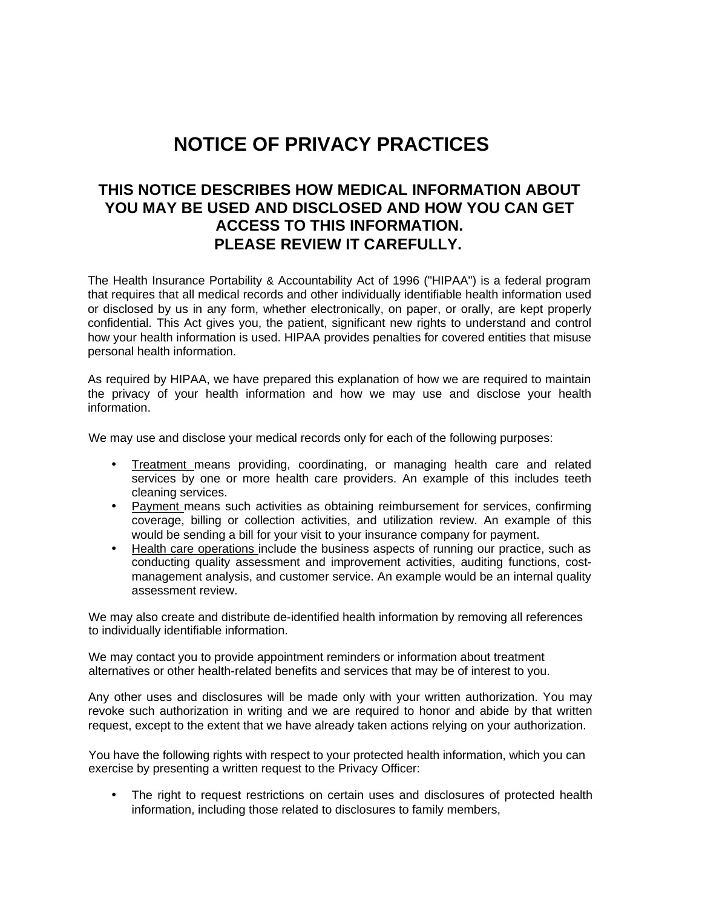# **NOTICE OF PRIVACY PRACTICES**

### **THIS NOTICE DESCRIBES HOW MEDICAL INFORMATION ABOUT YOU MAY BE USED AND DISCLOSED AND HOW YOU CAN GET ACCESS TO THIS INFORMATION. PLEASE REVIEW IT CAREFULLY.**

The Health Insurance Portability & Accountability Act of 1996 ("HIPAA") is a federal program that requires that all medical records and other individually identifiable health information used or disclosed by us in any form, whether electronically, on paper, or orally, are kept properly confidential. This Act gives you, the patient, significant new rights to understand and control how your health information is used. HIPAA provides penalties for covered entities that misuse personal health information.

As required by HIPAA, we have prepared this explanation of how we are required to maintain the privacy of your health information and how we may use and disclose your health information.

We may use and disclose your medical records only for each of the following purposes:

- Treatment means providing, coordinating, or managing health care and related services by one or more health care providers. An example of this includes teeth cleaning services.
- Payment means such activities as obtaining reimbursement for services, confirming coverage, billing or collection activities, and utilization review. An example of this would be sending a bill for your visit to your insurance company for payment.
- Health care operations include the business aspects of running our practice, such as conducting quality assessment and improvement activities, auditing functions, costmanagement analysis, and customer service. An example would be an internal quality assessment review.

We may also create and distribute de-identified health information by removing all references to individually identifiable information.

We may contact you to provide appointment reminders or information about treatment alternatives or other health-related benefits and services that may be of interest to you.

Any other uses and disclosures will be made only with your written authorization. You may revoke such authorization in writing and we are required to honor and abide by that written request, except to the extent that we have already taken actions relying on your authorization.

You have the following rights with respect to your protected health information, which you can exercise by presenting a written request to the Privacy Officer:

The right to request restrictions on certain uses and disclosures of protected health information, including those related to disclosures to family members,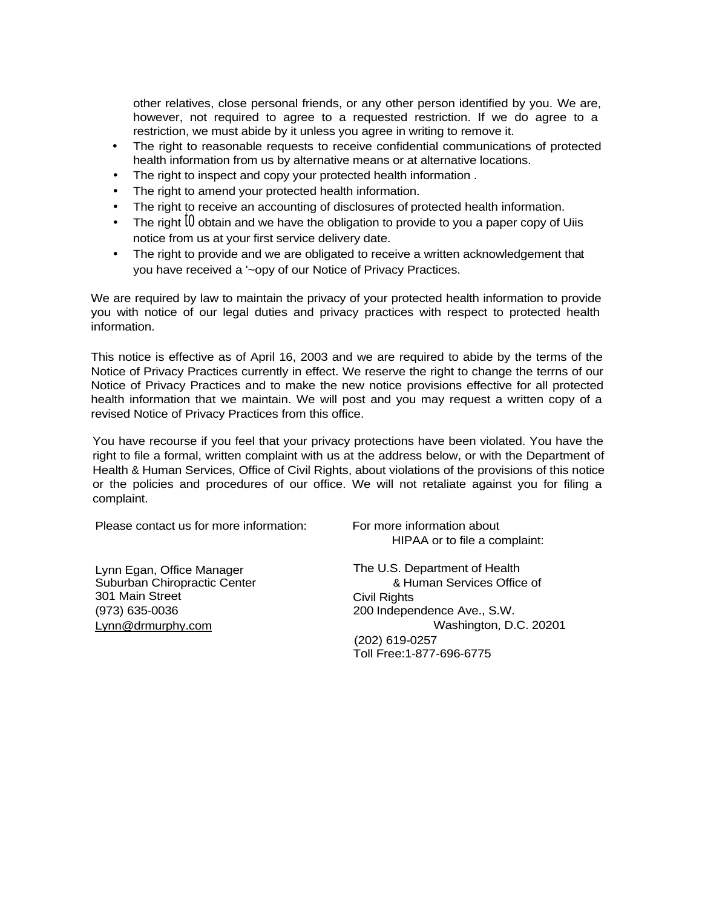other relatives, close personal friends, or any other person identified by you. We are, however, not required to agree to a requested restriction. If we do agree to a restriction, we must abide by it unless you agree in writing to remove it.

- The right to reasonable requests to receive confidential communications of protected health information from us by alternative means or at alternative locations.
- The right to inspect and copy your protected health information.
- The right to amend your protected health information.
- The right to receive an accounting of disclosures of protected health information.
- The right  $I_0$  obtain and we have the obligation to provide to you a paper copy of Uiis notice from us at your first service delivery date.
- The right to provide and we are obligated to receive a written acknowledgement that you have received a '~opy of our Notice of Privacy Practices.

We are required by law to maintain the privacy of your protected health information to provide you with notice of our legal duties and privacy practices with respect to protected health information.

This notice is effective as of April 16, 2003 and we are required to abide by the terms of the Notice of Privacy Practices currently in effect. We reserve the right to change the terrns of our Notice of Privacy Practices and to make the new notice provisions effective for all protected health information that we maintain. We will post and you may request a written copy of a revised Notice of Privacy Practices from this office.

You have recourse if you feel that your privacy protections have been violated. You have the right to file a formal, written complaint with us at the address below, or with the Department of Health & Human Services, Office of Civil Rights, about violations of the provisions of this notice or the policies and procedures of our office. We will not retaliate against you for filing a complaint.

Please contact us for more information:

Lynn Egan, Office Manager Suburban Chiropractic Center 301 Main Street (973) 635-0036 Lynn@drmurphy.com

For more information about HIPAA or to file a complaint:

The U.S. Department of Health & Human Services Office of Civil Rights 200 Independence Ave., S.W. Washington, D.C. 20201 (202) 619-0257 Toll Free:1-877-696-6775